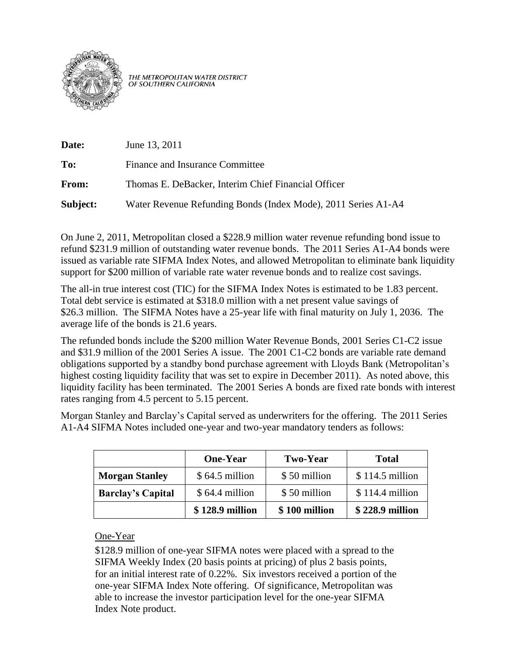

THE METROPOLITAN WATER DISTRICT<br>OF SOUTHERN CALIFORNIA

| Date:    | June 13, 2011                                                 |
|----------|---------------------------------------------------------------|
| To:      | Finance and Insurance Committee                               |
| From:    | Thomas E. DeBacker, Interim Chief Financial Officer           |
| Subject: | Water Revenue Refunding Bonds (Index Mode), 2011 Series A1-A4 |

On June 2, 2011, Metropolitan closed a \$228.9 million water revenue refunding bond issue to refund \$231.9 million of outstanding water revenue bonds. The 2011 Series A1-A4 bonds were issued as variable rate SIFMA Index Notes, and allowed Metropolitan to eliminate bank liquidity support for \$200 million of variable rate water revenue bonds and to realize cost savings.

The all-in true interest cost (TIC) for the SIFMA Index Notes is estimated to be 1.83 percent. Total debt service is estimated at \$318.0 million with a net present value savings of \$26.3 million. The SIFMA Notes have a 25-year life with final maturity on July 1, 2036. The average life of the bonds is 21.6 years.

The refunded bonds include the \$200 million Water Revenue Bonds, 2001 Series C1-C2 issue and \$31.9 million of the 2001 Series A issue. The 2001 C1-C2 bonds are variable rate demand obligations supported by a standby bond purchase agreement with Lloyds Bank (Metropolitan's highest costing liquidity facility that was set to expire in December 2011). As noted above, this liquidity facility has been terminated. The 2001 Series A bonds are fixed rate bonds with interest rates ranging from 4.5 percent to 5.15 percent.

Morgan Stanley and Barclay's Capital served as underwriters for the offering. The 2011 Series A1-A4 SIFMA Notes included one-year and two-year mandatory tenders as follows:

|                          | <b>One-Year</b> | <b>Two-Year</b> | <b>Total</b>     |
|--------------------------|-----------------|-----------------|------------------|
| <b>Morgan Stanley</b>    | $$64.5$ million | \$50 million    | $$114.5$ million |
| <b>Barclay's Capital</b> | $$64.4$ million | \$50 million    | \$114.4 million  |
|                          | \$128.9 million | \$100 million   | \$228.9 million  |

One-Year

\$128.9 million of one-year SIFMA notes were placed with a spread to the SIFMA Weekly Index (20 basis points at pricing) of plus 2 basis points, for an initial interest rate of 0.22%. Six investors received a portion of the one-year SIFMA Index Note offering. Of significance, Metropolitan was able to increase the investor participation level for the one-year SIFMA Index Note product.